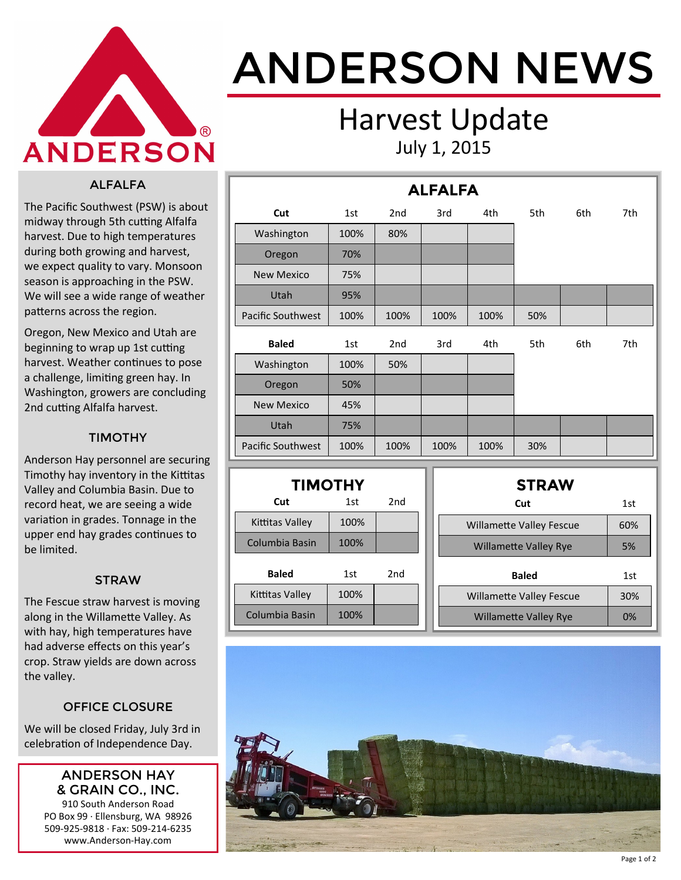

# ANDERSON NEWS

### Harvest Update July 1, 2015

#### ALFALFA

The Pacific Southwest (PSW) is about midway through 5th cutting Alfalfa harvest. Due to high temperatures during both growing and harvest, we expect quality to vary. Monsoon season is approaching in the PSW. We will see a wide range of weather patterns across the region.

Oregon, New Mexico and Utah are beginning to wrap up 1st cutting harvest. Weather continues to pose a challenge, limiting green hay. In Washington, growers are concluding 2nd cutting Alfalfa harvest.

#### TIMOTHY

Anderson Hay personnel are securing Timothy hay inventory in the Kittitas Valley and Columbia Basin. Due to record heat, we are seeing a wide variation in grades. Tonnage in the upper end hay grades continues to be limited.

#### **STRAW**

The Fescue straw harvest is moving along in the Willamette Valley. As with hay, high temperatures have had adverse effects on this year's crop. Straw yields are down across the valley.

#### OFFICE CLOSURE

We will be closed Friday, July 3rd in celebration of Independence Day.

#### ANDERSON HAY & GRAIN CO., INC. 910 South Anderson Road

PO Box 99 · Ellensburg, WA 98926 509-925-9818 · Fax: 509-214-6235 www.Anderson-Hay.com

| <b>ALFALFA</b>           |      |                 |      |      |     |     |     |  |  |  |
|--------------------------|------|-----------------|------|------|-----|-----|-----|--|--|--|
| Cut                      | 1st  | 2 <sub>nd</sub> | 3rd  | 4th  | 5th | 6th | 7th |  |  |  |
| Washington               | 100% | 80%             |      |      |     |     |     |  |  |  |
| Oregon                   | 70%  |                 |      |      |     |     |     |  |  |  |
| <b>New Mexico</b>        | 75%  |                 |      |      |     |     |     |  |  |  |
| <b>Utah</b>              | 95%  |                 |      |      |     |     |     |  |  |  |
| <b>Pacific Southwest</b> | 100% | 100%            | 100% | 100% | 50% |     |     |  |  |  |
| <b>Baled</b>             | 1st  | 2 <sub>nd</sub> | 3rd  | 4th  | 5th | 6th | 7th |  |  |  |
| Washington               | 100% | 50%             |      |      |     |     |     |  |  |  |
| Oregon                   | 50%  |                 |      |      |     |     |     |  |  |  |
| <b>New Mexico</b>        | 45%  |                 |      |      |     |     |     |  |  |  |
| Utah                     | 75%  |                 |      |      |     |     |     |  |  |  |
| Pacific Southwest        | 100% | 100%            | 100% | 100% | 30% |     |     |  |  |  |

| <b>TIMOTHY</b>    |      |     |  |  |  |  |  |  |  |
|-------------------|------|-----|--|--|--|--|--|--|--|
| 2nd<br>Cut<br>1st |      |     |  |  |  |  |  |  |  |
| Kittitas Valley   | 100% |     |  |  |  |  |  |  |  |
| Columbia Basin    | 100% |     |  |  |  |  |  |  |  |
| Baled             | 1st  | 2nd |  |  |  |  |  |  |  |
| Kittitas Valley   | 100% |     |  |  |  |  |  |  |  |
| Columbia Basin    | 100% |     |  |  |  |  |  |  |  |

| <b>STRAW</b>                    |     |  |  |  |  |  |  |  |
|---------------------------------|-----|--|--|--|--|--|--|--|
| Cut                             | 1st |  |  |  |  |  |  |  |
| <b>Willamette Valley Fescue</b> | 60% |  |  |  |  |  |  |  |
| <b>Willamette Valley Rye</b>    | 5%  |  |  |  |  |  |  |  |
| <b>Baled</b>                    | 1st |  |  |  |  |  |  |  |
| <b>Willamette Valley Fescue</b> | 30% |  |  |  |  |  |  |  |
| <b>Willamette Valley Rye</b>    | 0%  |  |  |  |  |  |  |  |